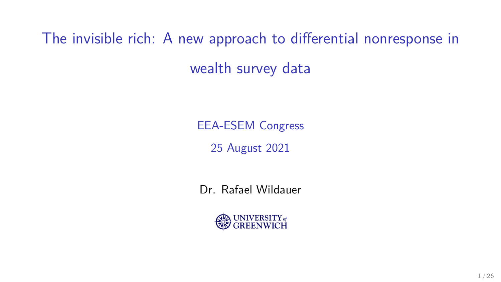The invisible rich: A new approach to differential nonresponse in wealth survey data

EEA-ESEM Congress

25 August 2021

Dr. Rafael Wildauer

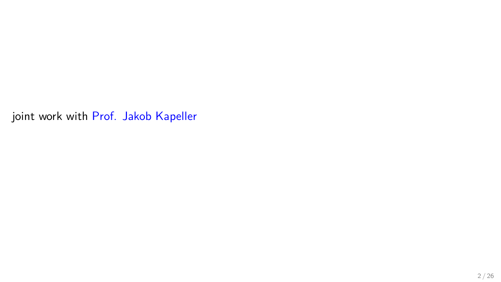joint work with [Prof. Jakob Kapeller](https://jakob-kapeller.org/)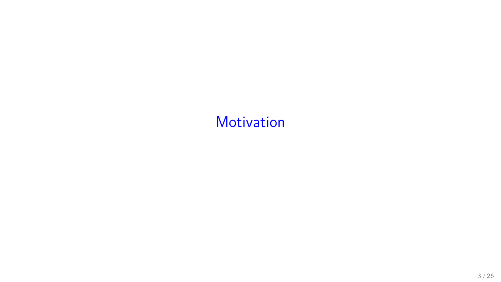# <span id="page-2-0"></span>**[Motivation](#page-2-0)**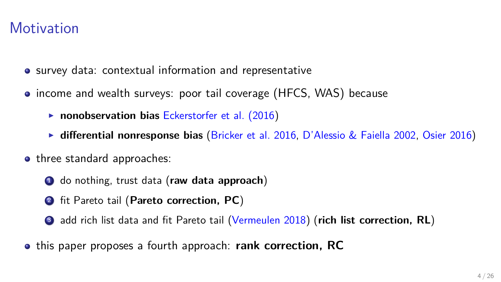#### **Motivation**

- survey data: contextual information and representative
- income and wealth surveys: poor tail coverage (HFCS, WAS) because
	- **nonobservation bias [Eckerstorfer et al. \(2016\)](#page-24-0)**
	- **differential nonresponse bias** [\(Bricker et al. 2016,](#page-24-1) [D'Alessio & Faiella 2002,](#page-24-2) [Osier 2016\)](#page-25-0)
- three standard approaches:
	- <sup>1</sup> do nothing, trust data (**raw data approach**)
	- <sup>2</sup> fit Pareto tail (**Pareto correction, PC**)
	- <sup>3</sup> add rich list data and fit Pareto tail [\(Vermeulen 2018\)](#page-25-1) (**rich list correction, RL**)
- this paper proposes a fourth approach: **rank correction, RC**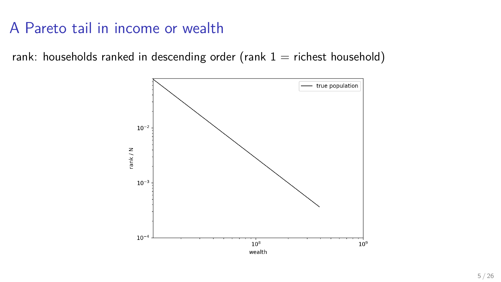rank: households ranked in descending order (rank  $1 =$  richest household)

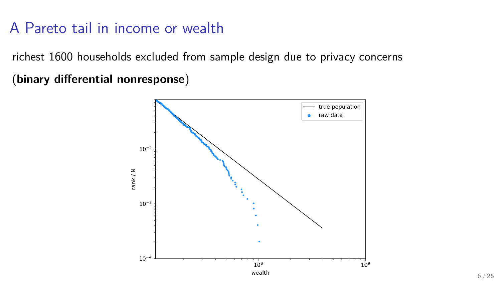richest 1600 households excluded from sample design due to privacy concerns

(**binary differential nonresponse**)

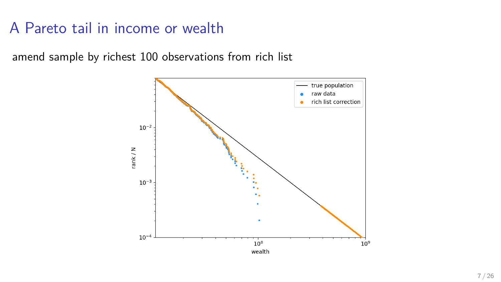amend sample by richest 100 observations from rich list

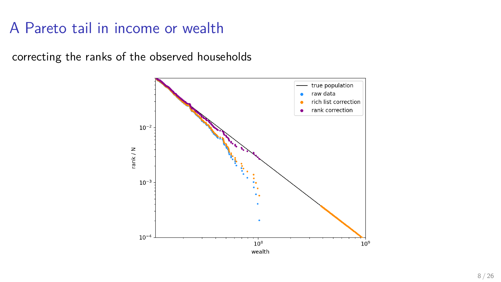correcting the ranks of the observed households

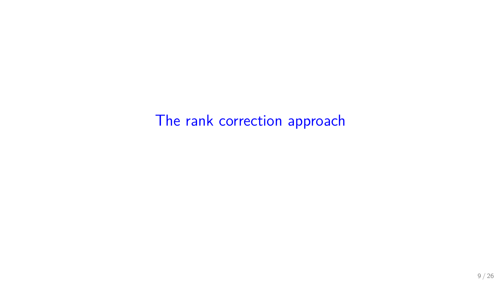<span id="page-8-0"></span>[The rank correction approach](#page-8-0)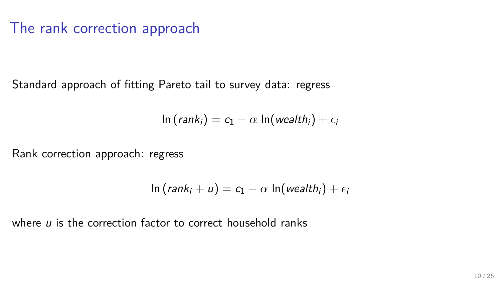# The rank correction approach

Standard approach of fitting Pareto tail to survey data: regress

$$
\ln(rank_i) = c_1 - \alpha \ln(wealth_i) + \epsilon_i
$$

Rank correction approach: regress

$$
\ln(rank_i + u) = c_1 - \alpha \ln(wealth_i) + \epsilon_i
$$

where u is the correction factor to correct household ranks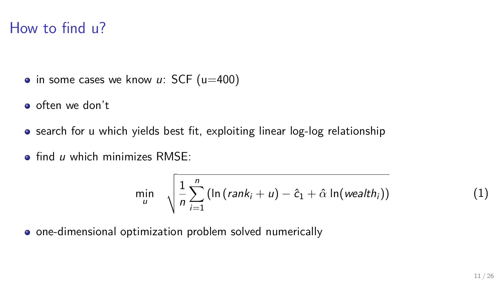### How to find u?

- in some cases we know  $u$ : SCF ( $u=400$ )
- o often we don't
- search for u which yields best fit, exploiting linear log-log relationship
- $\bullet$  find u which minimizes RMSF

$$
\min_{u} \sqrt{\frac{1}{n} \sum_{i=1}^{n} \left( \ln \left( \operatorname{rank}_{i} + u \right) - \hat{c}_{1} + \hat{\alpha} \ln \left( \operatorname{weak} h_{i} \right) \right)}
$$
(1)

• one-dimensional optimization problem solved numerically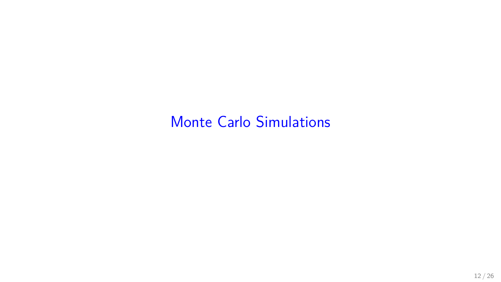# <span id="page-11-0"></span>[Monte Carlo Simulations](#page-11-0)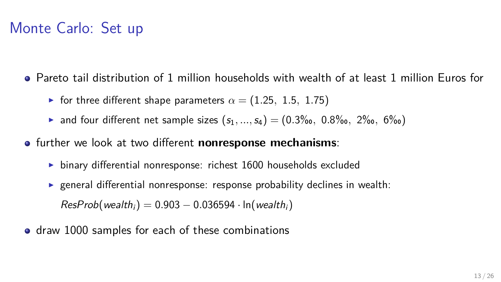# Monte Carlo: Set up

- Pareto tail distribution of 1 million households with wealth of at least 1 million Euros for
	- **►** for three different shape parameters  $\alpha = (1.25, 1.5, 1.75)$
	- ▶ and four different net sample sizes  $(s_1, ..., s_4) = (0.3\% \text{, } 0.8\% \text{, } 2\% \text{, } 6\% \text{)}$
- **o** further we look at two different **nonresponse mechanisms**:
	- $\triangleright$  binary differential nonresponse: richest 1600 households excluded
	- **Exercise 1** general differential nonresponse: response probability declines in wealth:  $ResProb(wealth_i) = 0.903 - 0.036594 \cdot ln(wealth_i)$
- draw 1000 samples for each of these combinations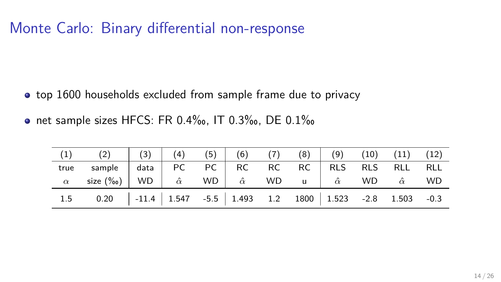# Monte Carlo: Binary differential non-response

- top 1600 households excluded from sample frame due to privacy
- net sample sizes HFCS: FR 0.4‰, IT 0.3‰, DE 0.1‰

| (1) (2) $(3)$ $(4)$ $(5)$ $(6)$ $(7)$ $(8)$ $(9)$ $(10)$ $(11)$ $(12)$                                                                         |  |  |  |  |  |
|------------------------------------------------------------------------------------------------------------------------------------------------|--|--|--|--|--|
| true sample data PC PC RC RC RLS RLS RLL RLL<br>$\alpha$ size (‰) WD $\hat{\alpha}$ WD $\hat{\alpha}$ WD u $\hat{\alpha}$ WD $\hat{\alpha}$ WD |  |  |  |  |  |
|                                                                                                                                                |  |  |  |  |  |
| 1.5 0.20 $\vert$ -11.4 $\vert$ 1.547 -5.5 $\vert$ 1.493 1.2 1800 $\vert$ 1.523 -2.8 1.503 -0.3                                                 |  |  |  |  |  |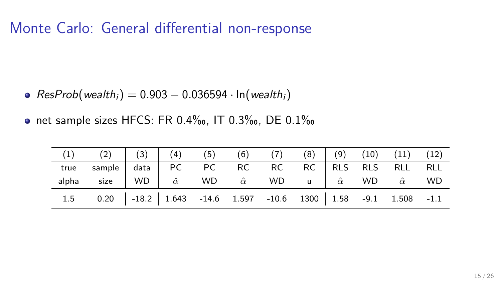## Monte Carlo: General differential non-response

- $\bullet$  ResProb(wealth<sub>i</sub>) = 0.903 0.036594 · ln(wealth<sub>i</sub>)
- net sample sizes HFCS: FR 0.4‰, IT 0.3‰, DE 0.1‰

| (1) (2) $(3)$ $(4)$ (5) $(6)$ (7) $(8)$ $(9)$ $(10)$ $(11)$ $(12)$                               |  |  |  |  |  |
|--------------------------------------------------------------------------------------------------|--|--|--|--|--|
| true sample data PC PC RC RC RC RLS RLS RLL RLL                                                  |  |  |  |  |  |
| alpha size   WD   $\hat{\alpha}$ WD   $\hat{\alpha}$ WD u   $\hat{\alpha}$ WD $\hat{\alpha}$ WD  |  |  |  |  |  |
| 1.5 0.20 $\vert$ -18.2 $\vert$ 1.643 -14.6 $\vert$ 1.597 -10.6 1300 $\vert$ 1.58 -9.1 1.508 -1.1 |  |  |  |  |  |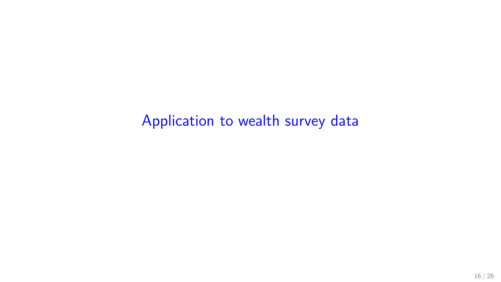<span id="page-15-0"></span>[Application to wealth survey data](#page-15-0)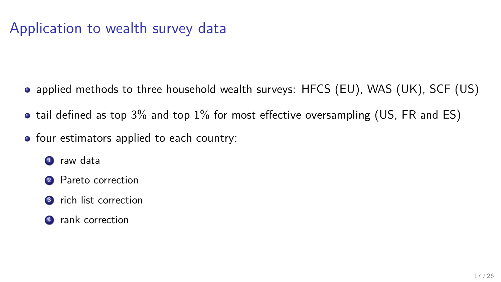# Application to wealth survey data

- applied methods to three household wealth surveys: HFCS (EU), WAS (UK), SCF (US)
- tail defined as top 3% and top 1% for most effective oversampling (US, FR and ES)
- four estimators applied to each country:
	- **1** raw data
	- 2 Pareto correction
	- <sup>3</sup> rich list correction
	- 4 rank correction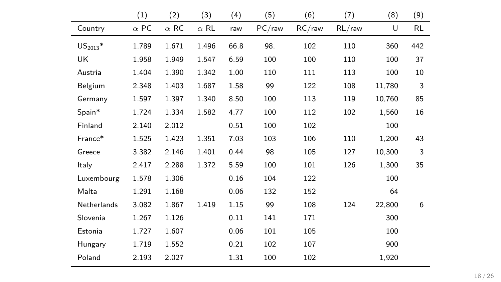|               | (1)         | (2)         | (3)         | (4)  | (5)       | (6)       | (7)       | (8)    | (9) |
|---------------|-------------|-------------|-------------|------|-----------|-----------|-----------|--------|-----|
| Country       | $\alpha$ PC | $\alpha$ RC | $\alpha$ RL | raw  | $PC$ /raw | $RC$ /raw | $RL$ /raw | U      | RL  |
| $US_{2013}$ * | 1.789       | 1.671       | 1.496       | 66.8 | 98.       | 102       | 110       | 360    | 442 |
| UK            | 1.958       | 1.949       | 1.547       | 6.59 | 100       | 100       | 110       | 100    | 37  |
| Austria       | 1.404       | 1.390       | 1.342       | 1.00 | 110       | 111       | 113       | 100    | 10  |
| Belgium       | 2.348       | 1.403       | 1.687       | 1.58 | 99        | 122       | 108       | 11,780 | 3   |
| Germany       | 1.597       | 1.397       | 1.340       | 8.50 | 100       | 113       | 119       | 10.760 | 85  |
| Spain*        | 1.724       | 1.334       | 1.582       | 4.77 | 100       | 112       | 102       | 1.560  | 16  |
| Finland       | 2.140       | 2.012       |             | 0.51 | 100       | 102       |           | 100    |     |
| France*       | 1.525       | 1.423       | 1.351       | 7.03 | 103       | 106       | 110       | 1,200  | 43  |
| Greece        | 3.382       | 2.146       | 1.401       | 0.44 | 98        | 105       | 127       | 10,300 | 3   |
| Italy         | 2.417       | 2.288       | 1.372       | 5.59 | 100       | 101       | 126       | 1,300  | 35  |
| Luxembourg    | 1.578       | 1.306       |             | 0.16 | 104       | 122       |           | 100    |     |
| Malta         | 1.291       | 1.168       |             | 0.06 | 132       | 152       |           | 64     |     |
| Netherlands   | 3.082       | 1.867       | 1.419       | 1.15 | 99        | 108       | 124       | 22,800 | 6   |
| Slovenia      | 1.267       | 1.126       |             | 0.11 | 141       | 171       |           | 300    |     |
| Estonia       | 1.727       | 1.607       |             | 0.06 | 101       | 105       |           | 100    |     |
| Hungary       | 1.719       | 1.552       |             | 0.21 | 102       | 107       |           | 900    |     |
| Poland        | 2.193       | 2.027       |             | 1.31 | 100       | 102       |           | 1,920  |     |
|               |             |             |             |      |           |           |           |        |     |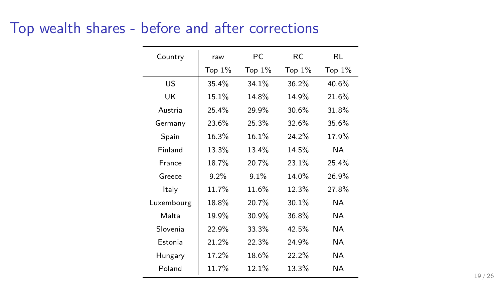# Top wealth shares - before and after corrections

| Country    | raw       | РC        | RC.       | RL        |
|------------|-----------|-----------|-----------|-----------|
|            | Top $1\%$ | Top $1\%$ | Top $1\%$ | Top $1\%$ |
| US         | 35.4%     | 34.1%     | 36.2%     | 40.6%     |
| UK         | 15.1%     | 14.8%     | 14.9%     | 21.6%     |
| Austria    | 25.4%     | 29.9%     | 30.6%     | 31.8%     |
| Germany    | 23.6%     | 25.3%     | 32.6%     | 35.6%     |
| Spain      | 16.3%     | 16.1%     | $24.2\%$  | 17.9%     |
| Finland    | 13.3%     | 13.4%     | 14.5%     | <b>NA</b> |
| France     | 18.7%     | 20.7%     | 23.1%     | 25.4%     |
| Greece     | 9.2%      | 9.1%      | 14.0%     | 26.9%     |
| Italy      | 11.7%     | 11.6%     | 12.3%     | 27.8%     |
| Luxembourg | 18.8%     | 20.7%     | $30.1\%$  | NА        |
| Malta      | 19.9%     | 30.9%     | 36.8%     | <b>NA</b> |
| Slovenia   | 22.9%     | 33.3%     | 42.5%     | ΝA.       |
| Estonia    | 21.2%     | 22.3%     | 24.9%     | <b>NA</b> |
| Hungary    | 17.2%     | 18.6%     | 22.2%     | ΝA.       |
| Poland     | 11.7%     | 12.1%     | 13.3%     | ΝA.       |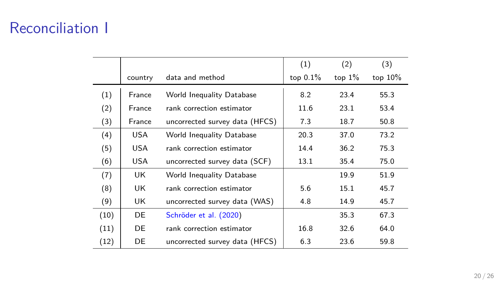# Reconciliation I

|      |            |                                | (1)         | (2)       | (3)        |  |
|------|------------|--------------------------------|-------------|-----------|------------|--|
|      | country    | data and method                | top $0.1\%$ | top $1\%$ | top $10\%$ |  |
| (1)  | France     | World Inequality Database      | 8.2         | 23.4      | 55.3       |  |
| (2)  | France     | rank correction estimator      | 11.6        | 23.1      | 53.4       |  |
| (3)  | France     | uncorrected survey data (HFCS) | 7.3         | 18.7      | 50.8       |  |
| (4)  | <b>USA</b> | World Inequality Database      | 20.3        | 37.0      | 73.2       |  |
| (5)  | USA.       | rank correction estimator      | 14.4        | 36.2      | 75.3       |  |
| (6)  | <b>USA</b> | uncorrected survey data (SCF)  | 13.1        | 35.4      | 75.0       |  |
| (7)  | UK         | World Inequality Database      |             | 19.9      | 51.9       |  |
| (8)  | UK.        | rank correction estimator      | 5.6         | 15.1      | 45.7       |  |
| (9)  | UK.        | uncorrected survey data (WAS)  | 4.8         | 14.9      | 45.7       |  |
| (10) | DE         | Schröder et al. (2020)         |             | 35.3      | 67.3       |  |
| (11) | DE         | rank correction estimator      | 16.8        | 32.6      | 64.0       |  |
| (12) | DE         | uncorrected survey data (HFCS) | 6.3         | 23.6      | 59.8       |  |
|      |            |                                |             |           |            |  |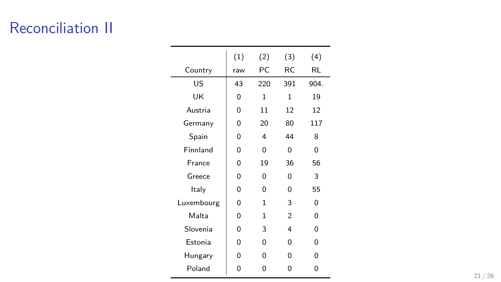# Reconciliation II

|            | (1) | (2)          | (3)            | (4)      |
|------------|-----|--------------|----------------|----------|
| Country    | raw | PC           | RC             | RL       |
| US         | 43  | 220          | 391            | 904.     |
| UK         | 0   | $\mathbf{1}$ | 1              | 19       |
| Austria    | O   | 11           | 12             | 12       |
| Germany    | O   | 20           | 80             | 117      |
| Spain      | 0   | 4            | 44             | 8        |
| Finnland   | O   | 0            | 0              | $\Omega$ |
| France     | 0   | 19           | 36             | 56       |
| Greece     | O   | 0            | $\Omega$       | 3        |
| Italy      | O   | O            | $\Omega$       | 55       |
| Luxembourg | O   | 1            | 3              | O        |
| Malta      | O   | 1            | $\overline{2}$ | O        |
| Slovenia   | 0   | 3            | 4              | $\Omega$ |
| Estonia    | O   | 0            | $\Omega$       | 0        |
| Hungary    | 0   | O            | $\Omega$       | 0        |
| Poland     | 0   | U            | O              | O        |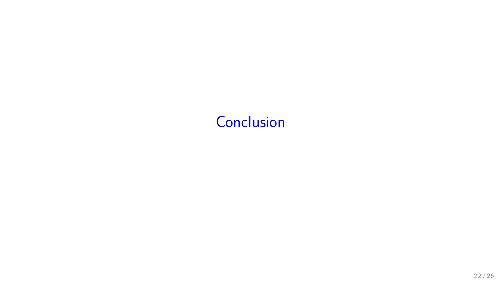# <span id="page-21-0"></span>**[Conclusion](#page-21-0)**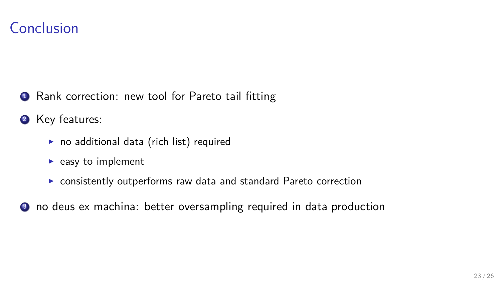### Conclusion

**1** Rank correction: new tool for Pareto tail fitting

2 Key features:

- $\blacktriangleright$  no additional data (rich list) required
- $\blacktriangleright$  easy to implement
- $\triangleright$  consistently outperforms raw data and standard Pareto correction
- <sup>3</sup> no deus ex machina: better oversampling required in data production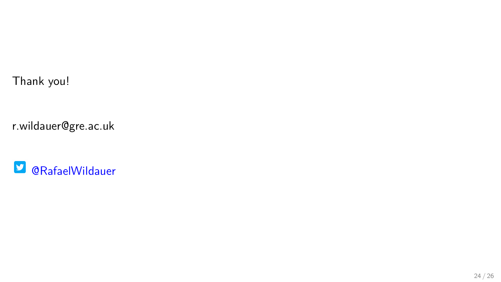Thank you!

r.wildauer@gre.ac.uk

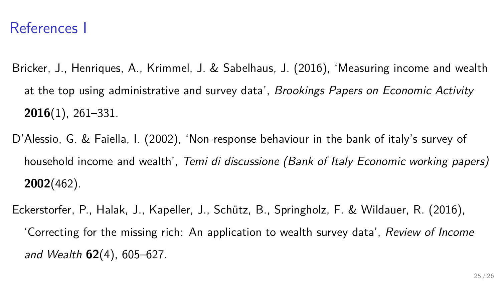#### References I

- <span id="page-24-1"></span>Bricker, J., Henriques, A., Krimmel, J. & Sabelhaus, J. (2016), 'Measuring income and wealth at the top using administrative and survey data', Brookings Papers on Economic Activity **2016**(1), 261–331.
- <span id="page-24-2"></span>D'Alessio, G. & Faiella, I. (2002), 'Non-response behaviour in the bank of italy's survey of household income and wealth', Temi di discussione (Bank of Italy Economic working papers) **2002**(462).

<span id="page-24-0"></span>Eckerstorfer, P., Halak, J., Kapeller, J., Schütz, B., Springholz, F. & Wildauer, R. (2016), 'Correcting for the missing rich: An application to wealth survey data', Review of Income and Wealth **62**(4), 605–627.